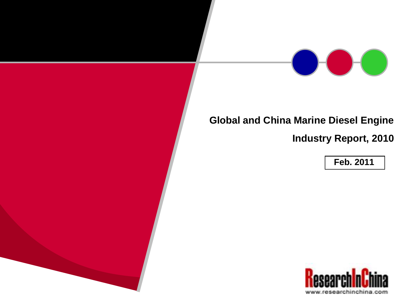

## **Global and China Marine Diesel Engine Industry Report, 2010**

**Feb. 2011**

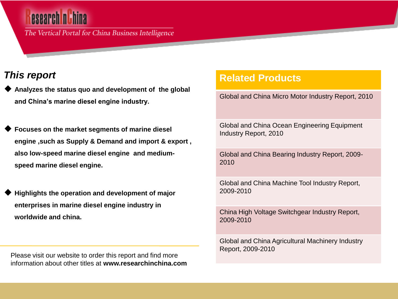The Vertical Portal for China Business Intelligence

### *This report*

- **Analyzes the status quo and development of the global and China's marine diesel engine industry.**
- **Focuses on the market segments of marine diesel engine ,such as Supply & Demand and import & export , also low-speed marine diesel engine and mediumspeed marine diesel engine.**
- **Highlights the operation and development of major enterprises in marine diesel engine industry in worldwide and china.**

Please visit our website to order this report and find more information about other titles at **www.researchinchina.com**

### **Related Products**

Global and China Micro Motor Industry Report, 2010

Global and China Ocean Engineering Equipment Industry Report, 2010

Global and China Bearing Industry Report, 2009- 2010

Global and China Machine Tool Industry Report, 2009-2010

China High Voltage Switchgear Industry Report, 2009-2010

Global and China Agricultural Machinery Industry Report, 2009-2010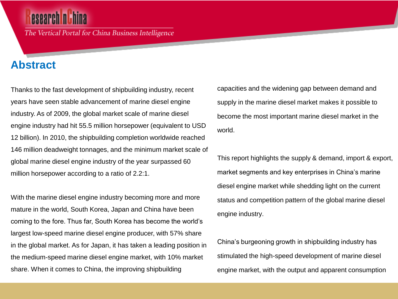## esearch n

The Vertical Portal for China Business Intelligence

### **Abstract**

Thanks to the fast development of shipbuilding industry, recent years have seen stable advancement of marine diesel engine industry. As of 2009, the global market scale of marine diesel engine industry had hit 55.5 million horsepower (equivalent to USD 12 billion). In 2010, the shipbuilding completion worldwide reached 146 million deadweight tonnages, and the minimum market scale of global marine diesel engine industry of the year surpassed 60 million horsepower according to a ratio of 2.2:1.

With the marine diesel engine industry becoming more and more mature in the world, South Korea, Japan and China have been coming to the fore. Thus far, South Korea has become the world's largest low-speed marine diesel engine producer, with 57% share in the global market. As for Japan, it has taken a leading position in the medium-speed marine diesel engine market, with 10% market share. When it comes to China, the improving shipbuilding

capacities and the widening gap between demand and supply in the marine diesel market makes it possible to become the most important marine diesel market in the world.

This report highlights the supply & demand, import & export, market segments and key enterprises in China's marine diesel engine market while shedding light on the current status and competition pattern of the global marine diesel engine industry.

China's burgeoning growth in shipbuilding industry has stimulated the high-speed development of marine diesel engine market, with the output and apparent consumption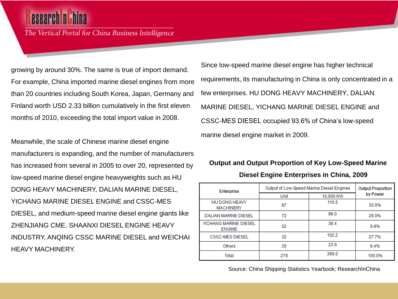## esearch n

The Vertical Portal for China Business Intelligence

growing by around 30%. The same is true of import demand. For example, China imported marine diesel engines from more than 20 countries including South Korea, Japan, Germany and Finland worth USD 2.33 billion cumulatively in the first eleven months of 2010, exceeding the total import value in 2008.

Meanwhile, the scale of Chinese marine diesel engine manufacturers is expanding, and the number of manufacturers has increased from several in 2005 to over 20, represented by low-speed marine diesel engine heavyweights such as HU DONG HEAVY MACHINERY, DALIAN MARINE DIESEL, YICHANG MARINE DIESEL ENGINE and CSSC-MES DIESEL, and medium-speed marine diesel engine giants like ZHENJIANG CME, SHAANXI DIESEL ENGINE HEAVY INDUSTRY, ANQING CSSC MARINE DIESEL and WEICHAI HEAVY MACHINERY.

Since low-speed marine diesel engine has higher technical requirements, its manufacturing in China is only concentrated in a few enterprises. HU DONG HEAVY MACHINERY, DALIAN MARINE DIESEL, YICHANG MARINE DIESEL ENGINE and CSSC-MES DIESEL occupied 93.6% of China's low-speed marine diesel engine market in 2009.

### **Output and Output Proportion of Key Low-Speed Marine Diesel Engine Enterprises in China, 2009**

| Enterprise                               | Output of Low-Speed Marine Diesel Engines |           | <b>Output Proportion</b> |
|------------------------------------------|-------------------------------------------|-----------|--------------------------|
|                                          | Unit                                      | 10,000 KW | by Power                 |
| <b>HU DONG HEAVY</b><br><b>MACHINERY</b> | 87                                        | 110.5     | 30.0%                    |
| <b>DALIAN MARINE DIESEL</b>              | 72                                        | 96.0      | 26.0%                    |
| YICHANG MARINE DIESEL<br><b>ENGINE</b>   | 52                                        | 36.4      | 9.9%                     |
| <b>CSSC-MES DIESEL</b>                   | 32                                        | 102.2     | 27.7%                    |
| Others                                   | 35                                        | 23.9      | 6.4%                     |
| Total                                    | 278                                       | 369.0     | 100.0%                   |

Source: China Shipping Statistics Yearbook; ResearchInChina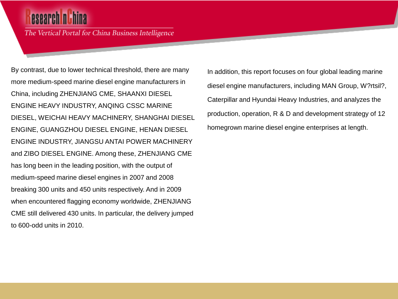## **esearch**

The Vertical Portal for China Business Intelligence

By contrast, due to lower technical threshold, there are many more medium-speed marine diesel engine manufacturers in China, including ZHENJIANG CME, SHAANXI DIESEL ENGINE HEAVY INDUSTRY, ANQING CSSC MARINE DIESEL, WEICHAI HEAVY MACHINERY, SHANGHAI DIESEL ENGINE, GUANGZHOU DIESEL ENGINE, HENAN DIESEL ENGINE INDUSTRY, JIANGSU ANTAI POWER MACHINERY and ZIBO DIESEL ENGINE. Among these, ZHENJIANG CME has long been in the leading position, with the output of medium-speed marine diesel engines in 2007 and 2008 breaking 300 units and 450 units respectively. And in 2009 when encountered flagging economy worldwide, ZHENJIANG CME still delivered 430 units. In particular, the delivery jumped to 600-odd units in 2010.

In addition, this report focuses on four global leading marine diesel engine manufacturers, including MAN Group, W?rtsil?, Caterpillar and Hyundai Heavy Industries, and analyzes the production, operation, R & D and development strategy of 12 homegrown marine diesel engine enterprises at length.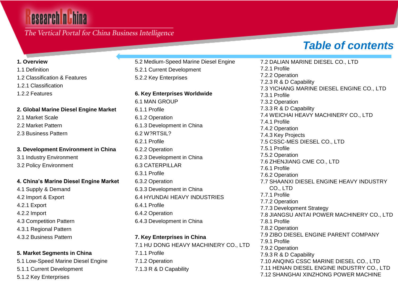# **esearch n'hina**

#### The Vertical Portal for China Business Intelligence

## *Table of contents*

#### **1. Overview**

- 1.1 Definition 1.2 Classification & Features 1.2.1 Classification
- 1.2.2 Features

#### **2. Global Marine Diesel Engine Market**

- 2.1 Market Scale
- 2.2 Market Pattern
- 2.3 Business Pattern

#### **3. Development Environment in China**

3.1 Industry Environment 3.2 Policy Environment

#### **4. China's Marine Diesel Engine Market**

4.1 Supply & Demand 4.2 Import & Export 4.2.1 Export 4.2.2 Import 4.3 Competition Pattern 4.3.1 Regional Pattern 4.3.2 Business Pattern

#### **5. Market Segments in China**

5.1 Low-Speed Marine Diesel Engine 5.1.1 Current Development 5.1.2 Key Enterprises

5.2 Medium-Speed Marine Diesel Engine 5.2.1 Current Development 5.2.2 Key Enterprises

#### **6. Key Enterprises Worldwide** 6.1 MAN GROUP

6.1.1 Profile 6.1.2 Operation 6.1.3 Development in China 6.2 W?RTSIL? 6.2.1 Profile 6.2.2 Operation 6.2.3 Development in China 6.3 CATERPILLAR 6.3.1 Profile 6.3.2 Operation 6.3.3 Development in China 6.4 HYUNDAI HEAVY INDUSTRIES 6.4.1 Profile 6.4.2 Operation 6.4.3 Development in China

#### **7. Key Enterprises in China** 7.1 HU DONG HEAVY MACHINERY CO., LTD 7.1.1 Profile 7.1.2 Operation 7.1.3 R & D Capability

7.2 DALIAN MARINE DIESEL CO., LTD 7.2.1 Profile 7.2.2 Operation 7.2.3 R & D Capability 7.3 YICHANG MARINE DIESEL ENGINE CO., LTD 7.3.1 Profile 7.3.2 Operation 7.3.3 R & D Capability 7.4 WEICHAI HEAVY MACHINERY CO., LTD 7.4.1 Profile 7.4.2 Operation 7.4.3 Key Projects 7.5 CSSC-MES DIESEL CO., LTD 7.5.1 Profile 7.5.2 Operation 7.6 ZHENJIANG CME CO., LTD 7.6.1 Profile 7.6.2 Operation 7.7 SHAANXI DIESEL ENGINE HEAVY INDUSTRY CO., LTD 7.7.1 Profile 7.7.2 Operation 7.7.3 Development Strategy 7.8 JIANGSU ANTAI POWER MACHINERY CO., LTD 7.8.1 Profile 7.8.2 Operation 7.9 ZIBO DIESEL ENGINE PARENT COMPANY 7.9.1 Profile 7.9.2 Operation 7.9.3 R & D Capability 7.10 ANQING CSSC MARINE DIESEL CO., LTD 7.11 HENAN DIESEL ENGINE INDUSTRY CO., LTD 7.12 SHANGHAI XINZHONG POWER MACHINE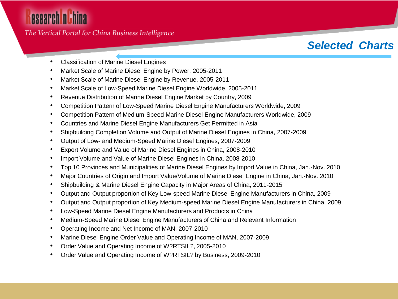# esearch nuhina

#### The Vertical Portal for China Business Intelligence

### *Selected Charts*

- Classification of Marine Diesel Engines
- Market Scale of Marine Diesel Engine by Power, 2005-2011
- Market Scale of Marine Diesel Engine by Revenue, 2005-2011
- Market Scale of Low-Speed Marine Diesel Engine Worldwide, 2005-2011
- Revenue Distribution of Marine Diesel Engine Market by Country, 2009
- Competition Pattern of Low-Speed Marine Diesel Engine Manufacturers Worldwide, 2009
- Competition Pattern of Medium-Speed Marine Diesel Engine Manufacturers Worldwide, 2009
- Countries and Marine Diesel Engine Manufacturers Get Permitted in Asia
- Shipbuilding Completion Volume and Output of Marine Diesel Engines in China, 2007-2009
- Output of Low- and Medium-Speed Marine Diesel Engines, 2007-2009
- Export Volume and Value of Marine Diesel Engines in China, 2008-2010
- Import Volume and Value of Marine Diesel Engines in China, 2008-2010
- Top 10 Provinces and Municipalities of Marine Diesel Engines by Import Value in China, Jan.-Nov. 2010
- Major Countries of Origin and Import Value/Volume of Marine Diesel Engine in China, Jan.-Nov. 2010
- Shipbuilding & Marine Diesel Engine Capacity in Major Areas of China, 2011-2015
- Output and Output proportion of Key Low-speed Marine Diesel Engine Manufacturers in China, 2009
- Output and Output proportion of Key Medium-speed Marine Diesel Engine Manufacturers in China, 2009
- Low-Speed Marine Diesel Engine Manufacturers and Products in China
- Medium-Speed Marine Diesel Engine Manufacturers of China and Relevant Information
- Operating Income and Net Income of MAN, 2007-2010
- Marine Diesel Engine Order Value and Operating Income of MAN, 2007-2009
- Order Value and Operating Income of W?RTSIL?, 2005-2010
- Order Value and Operating Income of W?RTSIL? by Business, 2009-2010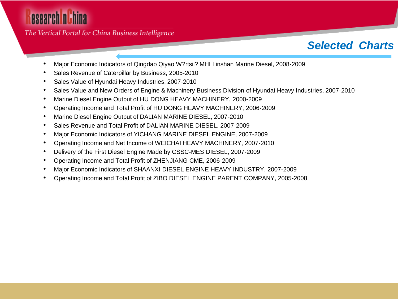# esearch nuhina

The Vertical Portal for China Business Intelligence

### *Selected Charts*

- Major Economic Indicators of Qingdao Qiyao W?rtsil? MHI Linshan Marine Diesel, 2008-2009
- Sales Revenue of Caterpillar by Business, 2005-2010
- Sales Value of Hyundai Heavy Industries, 2007-2010
- Sales Value and New Orders of Engine & Machinery Business Division of Hyundai Heavy Industries, 2007-2010
- Marine Diesel Engine Output of HU DONG HEAVY MACHINERY, 2000-2009
- Operating Income and Total Profit of HU DONG HEAVY MACHINERY, 2006-2009
- Marine Diesel Engine Output of DALIAN MARINE DIESEL, 2007-2010
- Sales Revenue and Total Profit of DALIAN MARINE DIESEL, 2007-2009
- Major Economic Indicators of YICHANG MARINE DIESEL ENGINE, 2007-2009
- Operating Income and Net Income of WEICHAI HEAVY MACHINERY, 2007-2010
- Delivery of the First Diesel Engine Made by CSSC-MES DIESEL, 2007-2009
- Operating Income and Total Profit of ZHENJIANG CME, 2006-2009
- Major Economic Indicators of SHAANXI DIESEL ENGINE HEAVY INDUSTRY, 2007-2009
- Operating Income and Total Profit of ZIBO DIESEL ENGINE PARENT COMPANY, 2005-2008